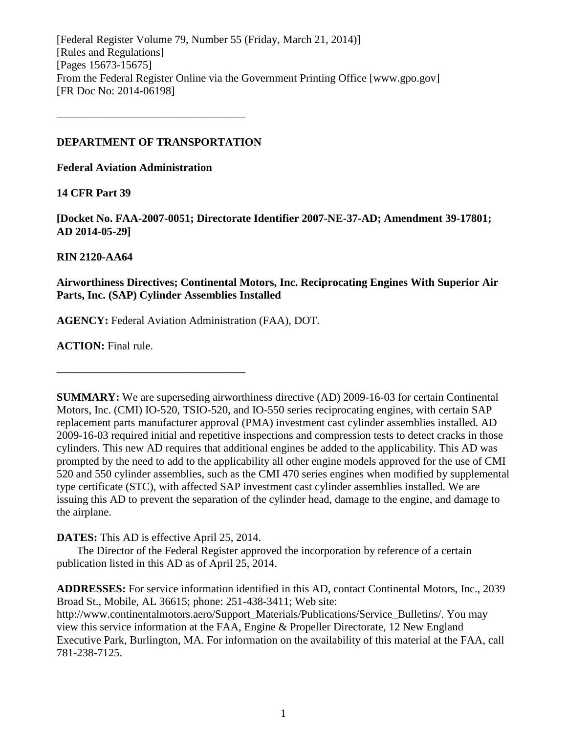[Federal Register Volume 79, Number 55 (Friday, March 21, 2014)] [Rules and Regulations] [Pages 15673-15675] From the Federal Register Online via the Government Printing Office [www.gpo.gov] [FR Doc No: 2014-06198]

### **DEPARTMENT OF TRANSPORTATION**

––––––––––––––––––––––––––––––––––

**Federal Aviation Administration**

### **14 CFR Part 39**

**[Docket No. FAA-2007-0051; Directorate Identifier 2007-NE-37-AD; Amendment 39-17801; AD 2014-05-29]**

## **RIN 2120-AA64**

## **Airworthiness Directives; Continental Motors, Inc. Reciprocating Engines With Superior Air Parts, Inc. (SAP) Cylinder Assemblies Installed**

**AGENCY:** Federal Aviation Administration (FAA), DOT.

**ACTION:** Final rule.

**SUMMARY:** We are superseding airworthiness directive (AD) 2009-16-03 for certain Continental Motors, Inc. (CMI) IO-520, TSIO-520, and IO-550 series reciprocating engines, with certain SAP replacement parts manufacturer approval (PMA) investment cast cylinder assemblies installed. AD 2009-16-03 required initial and repetitive inspections and compression tests to detect cracks in those cylinders. This new AD requires that additional engines be added to the applicability. This AD was prompted by the need to add to the applicability all other engine models approved for the use of CMI 520 and 550 cylinder assemblies, such as the CMI 470 series engines when modified by supplemental type certificate (STC), with affected SAP investment cast cylinder assemblies installed. We are issuing this AD to prevent the separation of the cylinder head, damage to the engine, and damage to the airplane.

**DATES:** This AD is effective April 25, 2014.

––––––––––––––––––––––––––––––––––

The Director of the Federal Register approved the incorporation by reference of a certain publication listed in this AD as of April 25, 2014.

**ADDRESSES:** For service information identified in this AD, contact Continental Motors, Inc., 2039 Broad St., Mobile, AL 36615; phone: 251-438-3411; Web site:

http://www.continentalmotors.aero/Support\_Materials/Publications/Service\_Bulletins/. You may view this service information at the FAA, Engine & Propeller Directorate, 12 New England Executive Park, Burlington, MA. For information on the availability of this material at the FAA, call 781-238-7125.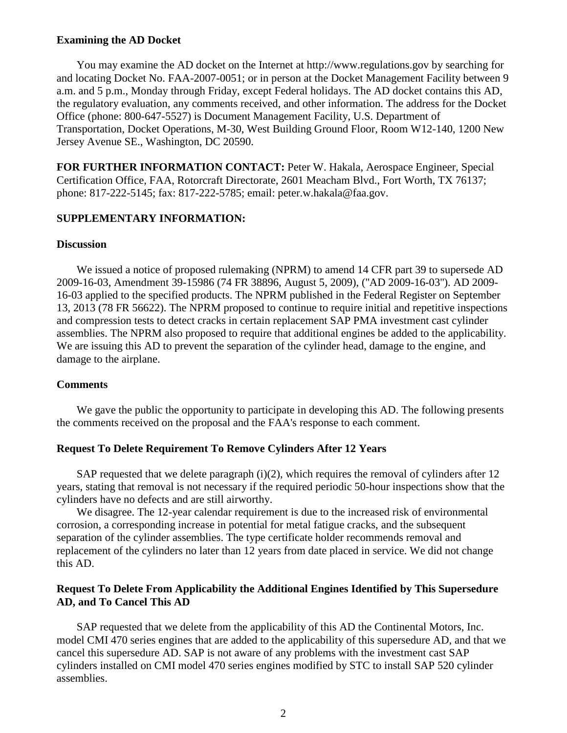### **Examining the AD Docket**

You may examine the AD docket on the Internet at http://www.regulations.gov by searching for and locating Docket No. FAA-2007-0051; or in person at the Docket Management Facility between 9 a.m. and 5 p.m., Monday through Friday, except Federal holidays. The AD docket contains this AD, the regulatory evaluation, any comments received, and other information. The address for the Docket Office (phone: 800-647-5527) is Document Management Facility, U.S. Department of Transportation, Docket Operations, M-30, West Building Ground Floor, Room W12-140, 1200 New Jersey Avenue SE., Washington, DC 20590.

**FOR FURTHER INFORMATION CONTACT:** Peter W. Hakala, Aerospace Engineer, Special Certification Office, FAA, Rotorcraft Directorate, 2601 Meacham Blvd., Fort Worth, TX 76137; phone: 817-222-5145; fax: 817-222-5785; email: peter.w.hakala@faa.gov.

### **SUPPLEMENTARY INFORMATION:**

### **Discussion**

We issued a notice of proposed rulemaking (NPRM) to amend 14 CFR part 39 to supersede AD 2009-16-03, Amendment 39-15986 (74 FR 38896, August 5, 2009), (''AD 2009-16-03''). AD 2009- 16-03 applied to the specified products. The NPRM published in the Federal Register on September 13, 2013 (78 FR 56622). The NPRM proposed to continue to require initial and repetitive inspections and compression tests to detect cracks in certain replacement SAP PMA investment cast cylinder assemblies. The NPRM also proposed to require that additional engines be added to the applicability. We are issuing this AD to prevent the separation of the cylinder head, damage to the engine, and damage to the airplane.

### **Comments**

We gave the public the opportunity to participate in developing this AD. The following presents the comments received on the proposal and the FAA's response to each comment.

### **Request To Delete Requirement To Remove Cylinders After 12 Years**

SAP requested that we delete paragraph  $(i)(2)$ , which requires the removal of cylinders after 12 years, stating that removal is not necessary if the required periodic 50-hour inspections show that the cylinders have no defects and are still airworthy.

We disagree. The 12-year calendar requirement is due to the increased risk of environmental corrosion, a corresponding increase in potential for metal fatigue cracks, and the subsequent separation of the cylinder assemblies. The type certificate holder recommends removal and replacement of the cylinders no later than 12 years from date placed in service. We did not change this AD.

### **Request To Delete From Applicability the Additional Engines Identified by This Supersedure AD, and To Cancel This AD**

SAP requested that we delete from the applicability of this AD the Continental Motors, Inc. model CMI 470 series engines that are added to the applicability of this supersedure AD, and that we cancel this supersedure AD. SAP is not aware of any problems with the investment cast SAP cylinders installed on CMI model 470 series engines modified by STC to install SAP 520 cylinder assemblies.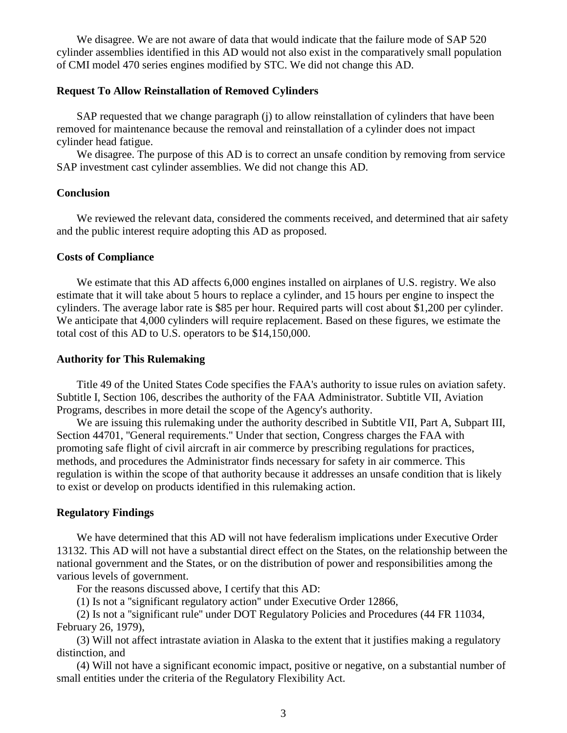We disagree. We are not aware of data that would indicate that the failure mode of SAP 520 cylinder assemblies identified in this AD would not also exist in the comparatively small population of CMI model 470 series engines modified by STC. We did not change this AD.

### **Request To Allow Reinstallation of Removed Cylinders**

SAP requested that we change paragraph (j) to allow reinstallation of cylinders that have been removed for maintenance because the removal and reinstallation of a cylinder does not impact cylinder head fatigue.

We disagree. The purpose of this AD is to correct an unsafe condition by removing from service SAP investment cast cylinder assemblies. We did not change this AD.

### **Conclusion**

We reviewed the relevant data, considered the comments received, and determined that air safety and the public interest require adopting this AD as proposed.

### **Costs of Compliance**

We estimate that this AD affects 6,000 engines installed on airplanes of U.S. registry. We also estimate that it will take about 5 hours to replace a cylinder, and 15 hours per engine to inspect the cylinders. The average labor rate is \$85 per hour. Required parts will cost about \$1,200 per cylinder. We anticipate that 4,000 cylinders will require replacement. Based on these figures, we estimate the total cost of this AD to U.S. operators to be \$14,150,000.

#### **Authority for This Rulemaking**

Title 49 of the United States Code specifies the FAA's authority to issue rules on aviation safety. Subtitle I, Section 106, describes the authority of the FAA Administrator. Subtitle VII, Aviation Programs, describes in more detail the scope of the Agency's authority.

We are issuing this rulemaking under the authority described in Subtitle VII, Part A, Subpart III, Section 44701, ''General requirements.'' Under that section, Congress charges the FAA with promoting safe flight of civil aircraft in air commerce by prescribing regulations for practices, methods, and procedures the Administrator finds necessary for safety in air commerce. This regulation is within the scope of that authority because it addresses an unsafe condition that is likely to exist or develop on products identified in this rulemaking action.

#### **Regulatory Findings**

We have determined that this AD will not have federalism implications under Executive Order 13132. This AD will not have a substantial direct effect on the States, on the relationship between the national government and the States, or on the distribution of power and responsibilities among the various levels of government.

For the reasons discussed above, I certify that this AD:

(1) Is not a ''significant regulatory action'' under Executive Order 12866,

(2) Is not a ''significant rule'' under DOT Regulatory Policies and Procedures (44 FR 11034, February 26, 1979),

(3) Will not affect intrastate aviation in Alaska to the extent that it justifies making a regulatory distinction, and

(4) Will not have a significant economic impact, positive or negative, on a substantial number of small entities under the criteria of the Regulatory Flexibility Act.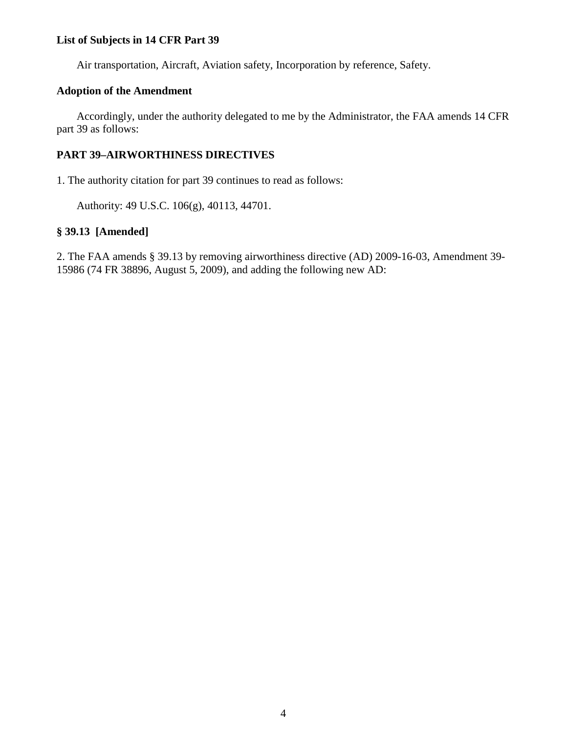## **List of Subjects in 14 CFR Part 39**

Air transportation, Aircraft, Aviation safety, Incorporation by reference, Safety.

## **Adoption of the Amendment**

Accordingly, under the authority delegated to me by the Administrator, the FAA amends 14 CFR part 39 as follows:

## **PART 39–AIRWORTHINESS DIRECTIVES**

1. The authority citation for part 39 continues to read as follows:

Authority: 49 U.S.C. 106(g), 40113, 44701.

## **§ 39.13 [Amended]**

2. The FAA amends § 39.13 by removing airworthiness directive (AD) 2009-16-03, Amendment 39- 15986 (74 FR 38896, August 5, 2009), and adding the following new AD: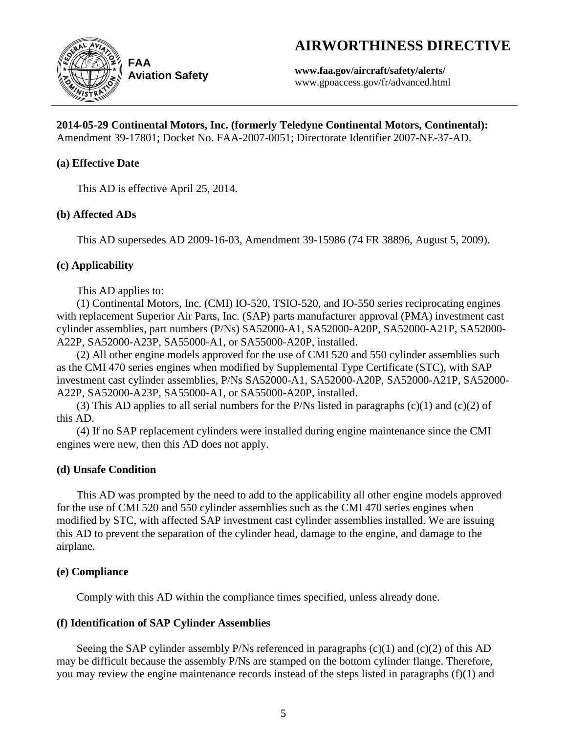# **AIRWORTHINESS DIRECTIVE**



**Aviation Safety**

**www.faa.gov/aircraft/safety/alerts/** www.gpoaccess.gov/fr/advanced.html

# **2014-05-29 Continental Motors, Inc. (formerly Teledyne Continental Motors, Continental):**

Amendment 39-17801; Docket No. FAA-2007-0051; Directorate Identifier 2007-NE-37-AD.

## **(a) Effective Date**

This AD is effective April 25, 2014.

## **(b) Affected ADs**

This AD supersedes AD 2009-16-03, Amendment 39-15986 (74 FR 38896, August 5, 2009).

## **(c) Applicability**

This AD applies to:

(1) Continental Motors, Inc. (CMI) IO-520, TSIO-520, and IO-550 series reciprocating engines with replacement Superior Air Parts, Inc. (SAP) parts manufacturer approval (PMA) investment cast cylinder assemblies, part numbers (P/Ns) SA52000-A1, SA52000-A20P, SA52000-A21P, SA52000- A22P, SA52000-A23P, SA55000-A1, or SA55000-A20P, installed.

(2) All other engine models approved for the use of CMI 520 and 550 cylinder assemblies such as the CMI 470 series engines when modified by Supplemental Type Certificate (STC), with SAP investment cast cylinder assemblies, P/Ns SA52000-A1, SA52000-A20P, SA52000-A21P, SA52000- A22P, SA52000-A23P, SA55000-A1, or SA55000-A20P, installed.

(3) This AD applies to all serial numbers for the P/Ns listed in paragraphs  $(c)(1)$  and  $(c)(2)$  of this AD.

(4) If no SAP replacement cylinders were installed during engine maintenance since the CMI engines were new, then this AD does not apply.

## **(d) Unsafe Condition**

This AD was prompted by the need to add to the applicability all other engine models approved for the use of CMI 520 and 550 cylinder assemblies such as the CMI 470 series engines when modified by STC, with affected SAP investment cast cylinder assemblies installed. We are issuing this AD to prevent the separation of the cylinder head, damage to the engine, and damage to the airplane.

## **(e) Compliance**

Comply with this AD within the compliance times specified, unless already done.

## **(f) Identification of SAP Cylinder Assemblies**

Seeing the SAP cylinder assembly  $P/Ns$  referenced in paragraphs (c)(1) and (c)(2) of this AD may be difficult because the assembly P/Ns are stamped on the bottom cylinder flange. Therefore, you may review the engine maintenance records instead of the steps listed in paragraphs (f)(1) and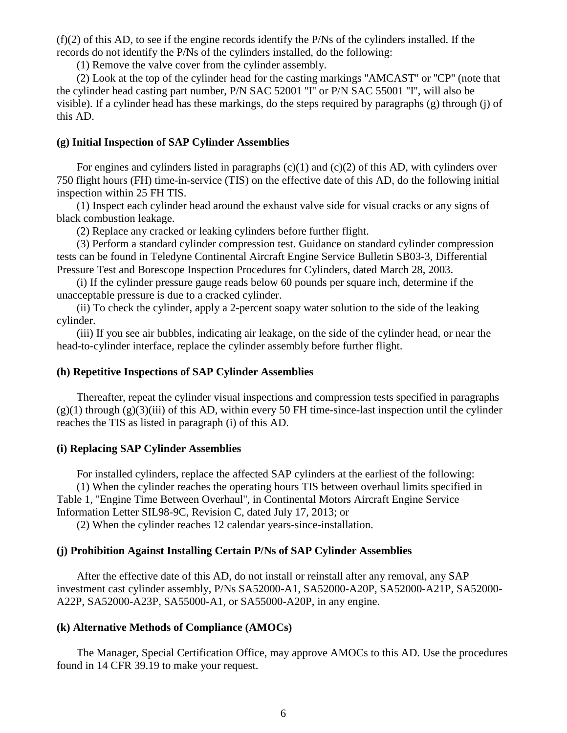(f)(2) of this AD, to see if the engine records identify the P/Ns of the cylinders installed. If the records do not identify the P/Ns of the cylinders installed, do the following:

(1) Remove the valve cover from the cylinder assembly.

(2) Look at the top of the cylinder head for the casting markings ''AMCAST'' or ''CP'' (note that the cylinder head casting part number, P/N SAC 52001 ''I'' or P/N SAC 55001 ''I'', will also be visible). If a cylinder head has these markings, do the steps required by paragraphs (g) through (j) of this AD.

### **(g) Initial Inspection of SAP Cylinder Assemblies**

For engines and cylinders listed in paragraphs  $(c)(1)$  and  $(c)(2)$  of this AD, with cylinders over 750 flight hours (FH) time-in-service (TIS) on the effective date of this AD, do the following initial inspection within 25 FH TIS.

(1) Inspect each cylinder head around the exhaust valve side for visual cracks or any signs of black combustion leakage.

(2) Replace any cracked or leaking cylinders before further flight.

(3) Perform a standard cylinder compression test. Guidance on standard cylinder compression tests can be found in Teledyne Continental Aircraft Engine Service Bulletin SB03-3, Differential Pressure Test and Borescope Inspection Procedures for Cylinders, dated March 28, 2003.

(i) If the cylinder pressure gauge reads below 60 pounds per square inch, determine if the unacceptable pressure is due to a cracked cylinder.

(ii) To check the cylinder, apply a 2-percent soapy water solution to the side of the leaking cylinder.

(iii) If you see air bubbles, indicating air leakage, on the side of the cylinder head, or near the head-to-cylinder interface, replace the cylinder assembly before further flight.

### **(h) Repetitive Inspections of SAP Cylinder Assemblies**

Thereafter, repeat the cylinder visual inspections and compression tests specified in paragraphs  $(g)(1)$  through  $(g)(3)$ (iii) of this AD, within every 50 FH time-since-last inspection until the cylinder reaches the TIS as listed in paragraph (i) of this AD.

## **(i) Replacing SAP Cylinder Assemblies**

For installed cylinders, replace the affected SAP cylinders at the earliest of the following:

(1) When the cylinder reaches the operating hours TIS between overhaul limits specified in Table 1, ''Engine Time Between Overhaul'', in Continental Motors Aircraft Engine Service Information Letter SIL98-9C, Revision C, dated July 17, 2013; or

(2) When the cylinder reaches 12 calendar years-since-installation.

### **(j) Prohibition Against Installing Certain P/Ns of SAP Cylinder Assemblies**

After the effective date of this AD, do not install or reinstall after any removal, any SAP investment cast cylinder assembly, P/Ns SA52000-A1, SA52000-A20P, SA52000-A21P, SA52000- A22P, SA52000-A23P, SA55000-A1, or SA55000-A20P, in any engine.

### **(k) Alternative Methods of Compliance (AMOCs)**

The Manager, Special Certification Office, may approve AMOCs to this AD. Use the procedures found in 14 CFR 39.19 to make your request.